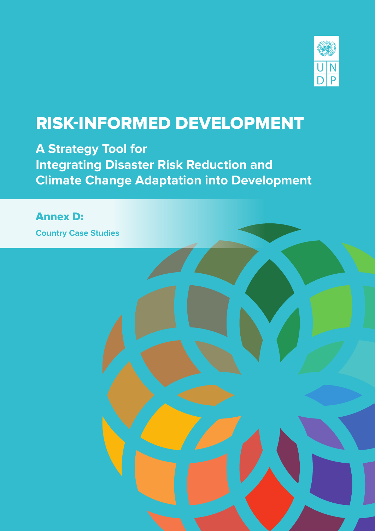

# RISK-INFORMED DEVELOPMENT

**A Strategy Tool for Integrating Disaster Risk Reduction and Climate Change Adaptation into Development**

### Annex D:

**Country Case Studies**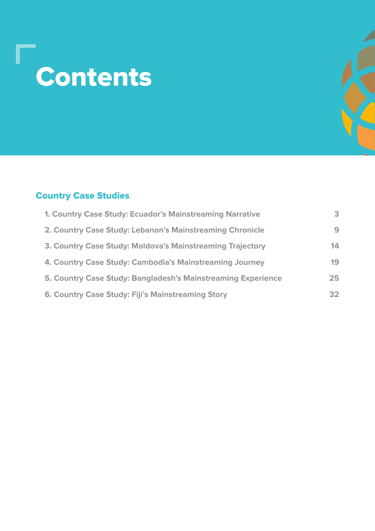# Contents

г - 1

### Country Case Studies

| 1. Country Case Study: Ecuador's Mainstreaming Narrative     | $\mathbf{B}$ |
|--------------------------------------------------------------|--------------|
| 2. Country Case Study: Lebanon's Mainstreaming Chronicle     | 9            |
| 3. Country Case Study: Moldova's Mainstreaming Trajectory    | 14           |
| 4. Country Case Study: Cambodia's Mainstreaming Journey      | 19           |
| 5. Country Case Study: Bangladesh's Mainstreaming Experience | 25           |
| 6. Country Case Study: Fiji's Mainstreaming Story            | 32           |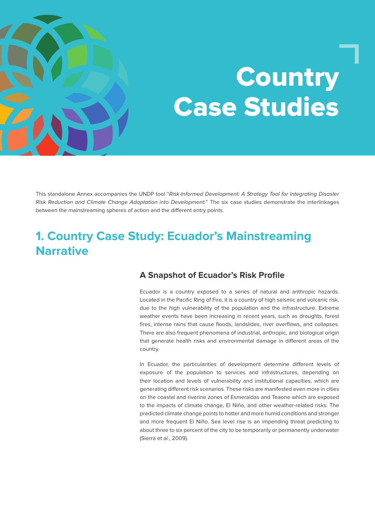<span id="page-2-0"></span>

# **Country** Case Studies

This standalone Annex accompanies the UNDP tool "Risk-Informed Development: A Strategy Tool for Integrating Disaster Risk Reduction and Climate Change Adaptation into Development." The six case studies demonstrate the interlinkages between the mainstreaming spheres of action and the different entry points.

# **1. Country Case Study: Ecuador's Mainstreaming Narrative**

### **A Snapshot of Ecuador's Risk Profile**

Ecuador is a country exposed to a series of natural and anthropic hazards. Located in the Pacific Ring of Fire, it is a country of high seismic and volcanic risk, due to the high vulnerability of the population and the infrastructure. Extreme weather events have been increasing in recent years, such as droughts, forest fires, intense rains that cause floods, landslides, river overflows, and collapses. There are also frequent phenomena of industrial, anthropic, and biological origin that generate health risks and environmental damage in different areas of the country.

In Ecuador, the particularities of development determine different levels of exposure of the population to services and infrastructures, depending on their location and levels of vulnerability and institutional capacities, which are generating different risk scenarios. These risks are manifested even more in cities on the coastal and riverine zones of Esmeraldas and Teaone which are exposed to the impacts of climate change, El Niño, and other weather-related risks. The predicted climate change points to hotter and more humid conditions and stronger and more frequent El Niño. Sea level rise is an impending threat predicting to about three to six percent of the city to be temporarily or permanently underwater (Sierra et al., 2009).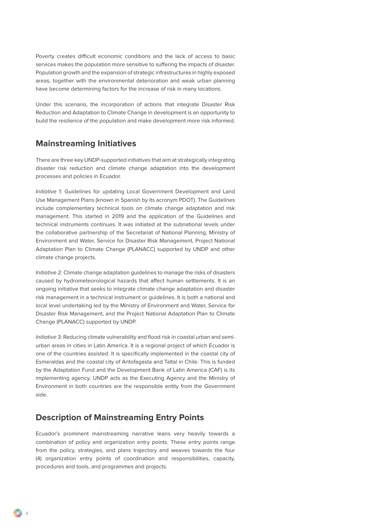Poverty creates difficult economic conditions and the lack of access to basic services makes the population more sensitive to suffering the impacts of disaster. Population growth and the expansion of strategic infrastructures in highly exposed areas, together with the environmental deterioration and weak urban planning have become determining factors for the increase of risk in many locations.

Under this scenario, the incorporation of actions that integrate Disaster Risk Reduction and Adaptation to Climate Change in development is an opportunity to build the resilience of the population and make development more risk informed.

### **Mainstreaming Initiatives**

There are three key UNDP-supported initiatives that aim at strategically integrating disaster risk reduction and climate change adaptation into the development processes and policies in Ecuador.

Initiative 1: Guidelines for updating Local Government Development and Land Use Management Plans (known in Spanish by its acronym PDOT). The Guidelines include complementary technical tools on climate change adaptation and risk management. This started in 2019 and the application of the Guidelines and technical instruments continues. It was initiated at the subnational levels under the collaborative partnership of the Secretariat of National Planning, Ministry of Environment and Water, Service for Disaster Risk Management, Project National Adaptation Plan to Climate Change (PLANACC) supported by UNDP and other climate change projects.

Initiative 2: Climate change adaptation guidelines to manage the risks of disasters caused by hydrometeorological hazards that affect human settlements. It is an ongoing initiative that seeks to integrate climate change adaptation and disaster risk management in a technical instrument or guidelines. It is both a national and local level undertaking led by the Ministry of Environment and Water, Service for Disaster Risk Management, and the Project National Adaptation Plan to Climate Change (PLANACC) supported by UNDP.

Initiative 3: Reducing climate vulnerability and flood risk in coastal urban and semiurban areas in cities in Latin America. It is a regional project of which Ecuador is one of the countries assisted. It is specifically implemented in the coastal city of Esmeraldas and the coastal city of Antofagasta and Taltal in Chile. This is funded by the Adaptation Fund and the Development Bank of Latin America (CAF) is its implementing agency. UNDP acts as the Executing Agency and the Ministry of Environment in both countries are the responsible entity from the Government side.

### **Description of Mainstreaming Entry Points**

Ecuador's prominent mainstreaming narrative leans very heavily towards a combination of policy and organization entry points. These entry points range from the policy, strategies, and plans trajectory and weaves towards the four (4) organization entry points of coordination and responsibilities, capacity, procedures and tools, and programmes and projects.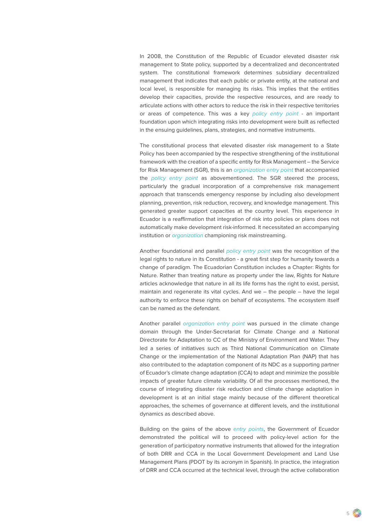In 2008, the Constitution of the Republic of Ecuador elevated disaster risk management to State policy, supported by a decentralized and deconcentrated system. The constitutional framework determines subsidiary decentralized management that indicates that each public or private entity, at the national and local level, is responsible for managing its risks. This implies that the entities develop their capacities, provide the respective resources, and are ready to articulate actions with other actors to reduce the risk in their respective territories or areas of competence. This was a key policy entry point - an important foundation upon which integrating risks into development were built as reflected in the ensuing guidelines, plans, strategies, and normative instruments.

The constitutional process that elevated disaster risk management to a State Policy has been accompanied by the respective strengthening of the institutional framework with the creation of a specific entity for Risk Management – the Service for Risk Management (SGR), this is an *organization entry point* that accompanied the *policy entry point* as abovementioned. The SGR steered the process, particularly the gradual incorporation of a comprehensive risk management approach that transcends emergency response by including also development planning, prevention, risk reduction, recovery, and knowledge management. This generated greater support capacities at the country level. This experience in Ecuador is a reaffirmation that integration of risk into policies or plans does not automatically make development risk-informed. It necessitated an accompanying institution or *organization* championing risk mainstreaming.

Another foundational and parallel policy entry point was the recognition of the legal rights to nature in its Constitution - a great first step for humanity towards a change of paradigm. The Ecuadorian Constitution includes a Chapter: Rights for Nature. Rather than treating nature as property under the law, Rights for Nature articles acknowledge that nature in all its life forms has the right to exist, persist, maintain and regenerate its vital cycles. And we – the people – have the legal authority to enforce these rights on behalf of ecosystems. The ecosystem itself can be named as the defendant.

Another parallel *organization entry point* was pursued in the climate change domain through the Under-Secretariat for Climate Change and a National Directorate for Adaptation to CC of the Ministry of Environment and Water. They led a series of initiatives such as Third National Communication on Climate Change or the implementation of the National Adaptation Plan (NAP) that has also contributed to the adaptation component of its NDC as a supporting partner of Ecuador's climate change adaptation (CCA) to adapt and minimize the possible impacts of greater future climate variability. Of all the processes mentioned, the course of integrating disaster risk reduction and climate change adaptation in development is at an initial stage mainly because of the different theoretical approaches, the schemes of governance at different levels, and the institutional dynamics as described above.

Building on the gains of the above entry points, the Government of Ecuador demonstrated the political will to proceed with policy-level action for the generation of participatory normative instruments that allowed for the integration of both DRR and CCA in the Local Government Development and Land Use Management Plans (PDOT by its acronym in Spanish). In practice, the integration of DRR and CCA occurred at the technical level, through the active collaboration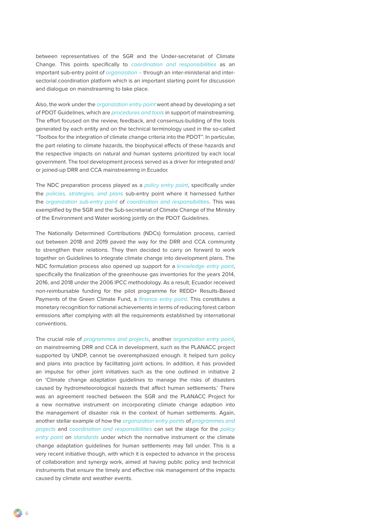between representatives of the SGR and the Under-secretariat of Climate Change. This points specifically to coordination and responsibilities as an important sub-entry point of *organization* – through an inter-ministerial and intersectorial coordination platform which is an important starting point for discussion and dialogue on mainstreaming to take place.

Also, the work under the *organization entry point* went ahead by developing a set of PDOT Guidelines, which are *procedures and tools* in support of mainstreaming. The effort focused on the review, feedback, and consensus-building of the tools generated by each entity and on the technical terminology used in the so-called "Toolbox for the integration of climate change criteria into the PDOT". In particular, the part relating to climate hazards, the biophysical effects of these hazards and the respective impacts on natural and human systems prioritized by each local government. The tool development process served as a driver for integrated and/ or joined-up DRR and CCA mainstreaming in Ecuador.

The NDC preparation process played as a *policy entry point*, specifically under the *policies, strategies, and plans* sub-entry point where it harnessed further the organization sub-entry point of coordination and responsibilities. This was exemplified by the SGR and the Sub-secretariat of Climate Change of the Ministry of the Environment and Water working jointly on the PDOT Guidelines.

The Nationally Determined Contributions (NDCs) formulation process, carried out between 2018 and 2019 paved the way for the DRR and CCA community to strengthen their relations. They then decided to carry on forward to work together on Guidelines to integrate climate change into development plans. The NDC formulation process also opened up support for a knowledge entry point, specifically the finalization of the greenhouse gas inventories for the years 2014, 2016, and 2018 under the 2006 IPCC methodology. As a result, Ecuador received non-reimbursable funding for the pilot programme for REDD+ Results-Based Payments of the Green Climate Fund, a *finance entry point*. This constitutes a monetary recognition for national achievements in terms of reducing forest carbon emissions after complying with all the requirements established by international conventions.

The crucial role of programmes and projects, another organization entry point, on mainstreaming DRR and CCA in development, such as the PLANACC project supported by UNDP, cannot be overemphasized enough. It helped turn policy and plans into practice by facilitating joint actions. In addition, it has provided an impulse for other joint initiatives such as the one outlined in initiative 2 on 'Climate change adaptation guidelines to manage the risks of disasters caused by hydrometeorological hazards that affect human settlements.' There was an agreement reached between the SGR and the PLANACC Project for a new normative instrument on incorporating climate change adaption into the management of disaster risk in the context of human settlements. Again, another stellar example of how the organization entry points of programmes and projects and coordination and responsibilities can set the stage for the policy entry point on standards under which the normative instrument or the climate change adaptation guidelines for human settlements may fall under. This is a very recent initiative though, with which it is expected to advance in the process of collaboration and synergy work, aimed at having public policy and technical instruments that ensure the timely and effective risk management of the impacts caused by climate and weather events.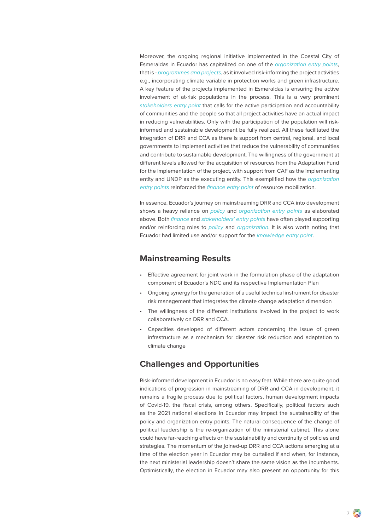Moreover, the ongoing regional initiative implemented in the Coastal City of Esmeraldas in Ecuador has capitalized on one of the organization entry points, that is - *programmes and projects*, as it involved risk-informing the project activities e.g., incorporating climate variable in protection works and green infrastructure. A key feature of the projects implemented in Esmeraldas is ensuring the active involvement of at-risk populations in the process. This is a very prominent stakeholders entry point that calls for the active participation and accountability of communities and the people so that all project activities have an actual impact in reducing vulnerabilities. Only with the participation of the population will riskinformed and sustainable development be fully realized. All these facilitated the integration of DRR and CCA as there is support from central, regional, and local governments to implement activities that reduce the vulnerability of communities and contribute to sustainable development. The willingness of the government at different levels allowed for the acquisition of resources from the Adaptation Fund for the implementation of the project, with support from CAF as the implementing entity and UNDP as the executing entity. This exemplified how the *organization* entry points reinforced the finance entry point of resource mobilization.

In essence, Ecuador's journey on mainstreaming DRR and CCA into development shows a heavy reliance on policy and organization entry points as elaborated above. Both *finance* and *stakeholders' entry points* have often played supporting and/or reinforcing roles to *policy* and *organization*. It is also worth noting that Ecuador had limited use and/or support for the knowledge entry point.

#### **Mainstreaming Results**

- Effective agreement for joint work in the formulation phase of the adaptation component of Ecuador's NDC and its respective Implementation Plan
- Ongoing synergy for the generation of a useful technical instrument for disaster risk management that integrates the climate change adaptation dimension
- The willingness of the different institutions involved in the project to work collaboratively on DRR and CCA.
- Capacities developed of different actors concerning the issue of green infrastructure as a mechanism for disaster risk reduction and adaptation to climate change

### **Challenges and Opportunities**

Risk-informed development in Ecuador is no easy feat. While there are quite good indications of progression in mainstreaming of DRR and CCA in development, it remains a fragile process due to political factors, human development impacts of Covid-19, the fiscal crisis, among others. Specifically, political factors such as the 2021 national elections in Ecuador may impact the sustainability of the policy and organization entry points. The natural consequence of the change of political leadership is the re-organization of the ministerial cabinet. This alone could have far-reaching effects on the sustainability and continuity of policies and strategies. The momentum of the joined-up DRR and CCA actions emerging at a time of the election year in Ecuador may be curtailed if and when, for instance, the next ministerial leadership doesn't share the same vision as the incumbents. Optimistically, the election in Ecuador may also present an opportunity for this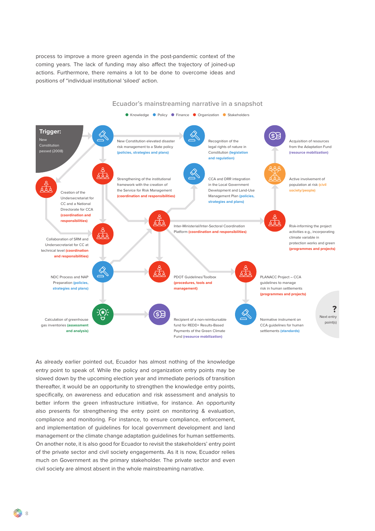process to improve a more green agenda in the post-pandemic context of the coming years. The lack of funding may also affect the trajectory of joined-up actions. Furthermore, there remains a lot to be done to overcome ideas and positions of "individual institutional 'siloed' action.

#### **Ecuador's mainstreaming narrative in a snapshot**



As already earlier pointed out, Ecuador has almost nothing of the knowledge entry point to speak of. While the policy and organization entry points may be slowed down by the upcoming election year and immediate periods of transition thereafter, it would be an opportunity to strengthen the knowledge entry points, specifically, on awareness and education and risk assessment and analysis to better inform the green infrastructure initiative, for instance. An opportunity also presents for strengthening the entry point on monitoring & evaluation, compliance and monitoring. For instance, to ensure compliance, enforcement, and implementation of guidelines for local government development and land management or the climate change adaptation guidelines for human settlements. On another note, it is also good for Ecuador to revisit the stakeholders' entry point of the private sector and civil society engagements. As it is now, Ecuador relies much on Government as the primary stakeholder. The private sector and even civil society are almost absent in the whole mainstreaming narrative.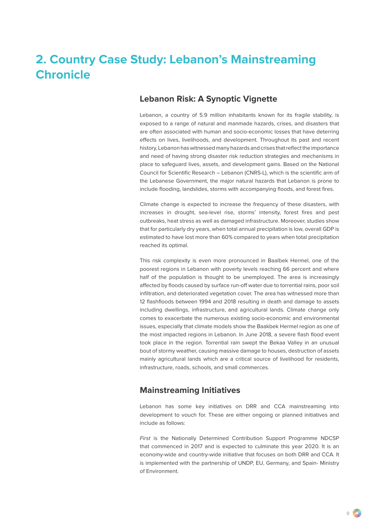## <span id="page-8-0"></span>**2. Country Case Study: Lebanon's Mainstreaming Chronicle**

### **Lebanon Risk: A Synoptic Vignette**

Lebanon, a country of 5.9 million inhabitants known for its fragile stability, is exposed to a range of natural and manmade hazards, crises, and disasters that are often associated with human and socio-economic losses that have deterring effects on lives, livelihoods, and development. Throughout its past and recent history, Lebanon has witnessed many hazards and crises that reflect the importance and need of having strong disaster risk reduction strategies and mechanisms in place to safeguard lives, assets, and development gains. Based on the National Council for Scientific Research – Lebanon (CNRS-L), which is the scientific arm of the Lebanese Government, the major natural hazards that Lebanon is prone to include flooding, landslides, storms with accompanying floods, and forest fires.

Climate change is expected to increase the frequency of these disasters, with increases in drought, sea-level rise, storms' intensity, forest fires and pest outbreaks, heat stress as well as damaged infrastructure. Moreover, studies show that for particularly dry years, when total annual precipitation is low, overall GDP is estimated to have lost more than 60% compared to years when total precipitation reached its optimal.

This risk complexity is even more pronounced in Baalbek Hermel, one of the poorest regions in Lebanon with poverty levels reaching 66 percent and where half of the population is thought to be unemployed. The area is increasingly affected by floods caused by surface run-off water due to torrential rains, poor soil infiltration, and deteriorated vegetation cover. The area has witnessed more than 12 flashfloods between 1994 and 2018 resulting in death and damage to assets including dwellings, infrastructure, and agricultural lands. Climate change only comes to exacerbate the numerous existing socio-economic and environmental issues, especially that climate models show the Baakbek Hermel region as one of the most impacted regions in Lebanon. In June 2018, a severe flash flood event took place in the region. Torrential rain swept the Bekaa Valley in an unusual bout of stormy weather, causing massive damage to houses, destruction of assets mainly agricultural lands which are a critical source of livelihood for residents, infrastructure, roads, schools, and small commerces.

### **Mainstreaming Initiatives**

Lebanon has some key initiatives on DRR and CCA mainstreaming into development to vouch for. These are either ongoing or planned initiatives and include as follows:

First is the Nationally Determined Contribution Support Programme NDCSP that commenced in 2017 and is expected to culminate this year 2020. It is an economy-wide and country-wide initiative that focuses on both DRR and CCA. It is implemented with the partnership of UNDP, EU, Germany, and Spain- Ministry of Environment.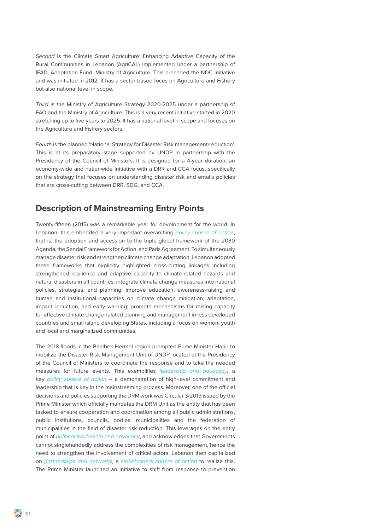Second is the Climate Smart Agriculture: Enhancing Adaptive Capacity of the Rural Communities in Lebanon (AgriCAL) implemented under a partnership of IFAD, Adaptation Fund, Ministry of Agriculture. This preceded the NDC initiative and was initiated in 2012. It has a sector-based focus on Agriculture and Fishery but also national level in scope.

Third is the Ministry of Agriculture Strategy 2020-2025 under a partnership of FAO and the Ministry of Agriculture. This is a very recent initiative started in 2020 stretching up to five years to 2025. It has a national level in scope and focuses on the Agriculture and Fishery sectors.

Fourth is the planned 'National Strategy for Disaster Risk management/reduction'. This is at its preparatory stage supported by UNDP in partnership with the Presidency of the Council of Ministers. It is designed for a 4-year duration, an economy-wide and nationwide initiative with a DRR and CCA focus, specifically on the strategy that focuses on understanding disaster risk and entails policies that are cross-cutting between DRR, SDG, and CCA.

### **Description of Mainstreaming Entry Points**

Twenty-fifteen (2015) was a remarkable year for development for the world. In Lebanon, this embedded a very important overarching policy sphere of action, that is, the adoption and accession to the triple global framework of the 2030 Agenda, the Sendai Framework for Action, and Paris Agreement. To simultaneously manage disaster risk and strengthen climate change adaptation, Lebanon adopted these frameworks that explicitly highlighted cross-cutting linkages including strengthened resilience and adaptive capacity to climate-related hazards and natural disasters in all countries; integrate climate change measures into national policies, strategies, and planning; improve education, awareness-raising and human and institutional capacities on climate change mitigation, adaptation, impact reduction, and early warning; promote mechanisms for raising capacity for effective climate change-related planning and management in less developed countries and small island developing States, including a focus on women, youth and local and marginalized communities.

The 2018 floods in the Baalbek Hermel region prompted Prime Minister Hariri to mobilize the Disaster Risk Management Unit of UNDP located at the Presidency of the Council of Ministers to coordinate the response and to take the needed measures for future events. This exemplifies *leadership and advocacy*, a key policy sphere of action - a demonstration of high-level commitment and leadership that is key in the mainstreaming process. Moreover, one of the official decisions and policies supporting the DRM work was Circular 3/2019 issued by the Prime Minister which officially mandates the DRM Unit as the entity that has been tasked to ensure cooperation and coordination among all public administrations, public institutions, councils, bodies, municipalities and the federation of municipalities in the field of disaster risk reduction. This leverages on the entry point of political leadership and advocacy, and acknowledges that Governments cannot singlehandedly address the complexities of risk management, hence the need to strengthen the involvement of critical actors. Lebanon then capitalized on partnerships and networks, a stakeholders sphere of action to realize this. The Prime Minister launched an initiative to shift from response to prevention

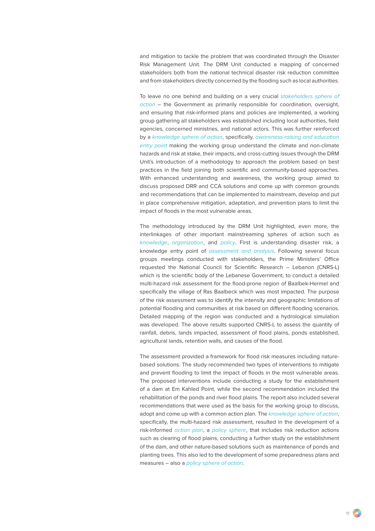and mitigation to tackle the problem that was coordinated through the Disaster Risk Management Unit. The DRM Unit conducted a mapping of concerned stakeholders both from the national technical disaster risk reduction committee and from stakeholders directly concerned by the flooding such as local authorities.

To leave no one behind and building on a very crucial stakeholders sphere of action – the Government as primarily responsible for coordination, oversight, and ensuring that risk-informed plans and policies are implemented, a working group gathering all stakeholders was established including local authorities, field agencies, concerned ministries, and national actors. This was further reinforced by a knowledge sphere of action, specifically, awareness-raising and education entry point making the working group understand the climate and non-climate hazards and risk at stake, their impacts, and cross-cutting issues through the DRM Unit's introduction of a methodology to approach the problem based on best practices in the field joining both scientific and community-based approaches. With enhanced understanding and awareness, the working group aimed to discuss proposed DRR and CCA solutions and come up with common grounds and recommendations that can be implemented to mainstream, develop and put in place comprehensive mitigation, adaptation, and prevention plans to limit the impact of floods in the most vulnerable areas.

The methodology introduced by the DRM Unit highlighted, even more, the interlinkages of other important mainstreaming spheres of action such as knowledge, organization, and policy. First is understanding disaster risk, a knowledge entry point of assessment and analysis. Following several focus groups meetings conducted with stakeholders, the Prime Ministers' Office requested the National Council for Scientific Research – Lebanon (CNRS-L) which is the scientific body of the Lebanese Government, to conduct a detailed multi-hazard risk assessment for the flood-prone region of Baalbek-Hermel and specifically the village of Ras Baalbeck which was most impacted. The purpose of the risk assessment was to identify the intensity and geographic limitations of potential flooding and communities at risk based on different flooding scenarios. Detailed mapping of the region was conducted and a hydrological simulation was developed. The above results supported CNRS-L to assess the quantity of rainfall, debris, lands impacted, assessment of flood plains, ponds established, agricultural lands, retention walls, and causes of the flood.

The assessment provided a framework for flood risk measures including naturebased solutions. The study recommended two types of interventions to mitigate and prevent flooding to limit the impact of floods in the most vulnerable areas. The proposed interventions include conducting a study for the establishment of a dam at Em Kahled Point, while the second recommendation included the rehabilitation of the ponds and river flood plains. The report also included several recommendations that were used as the basis for the working group to discuss, adopt and come up with a common action plan. The knowledge sphere of action, specifically, the multi-hazard risk assessment, resulted in the development of a risk-informed *action plan*, a *policy sphere*, that includes risk reduction actions such as clearing of flood plains, conducting a further study on the establishment of the dam, and other nature-based solutions such as maintenance of ponds and planting trees. This also led to the development of some preparedness plans and measures – also a policy sphere of action.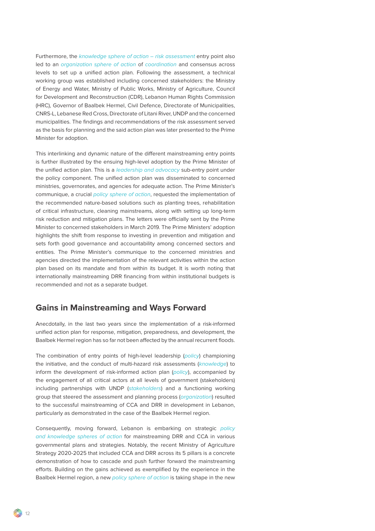Furthermore, the knowledge sphere of action – risk assessment entry point also led to an organization sphere of action of coordination and consensus across levels to set up a unified action plan. Following the assessment, a technical working group was established including concerned stakeholders: the Ministry of Energy and Water, Ministry of Public Works, Ministry of Agriculture, Council for Development and Reconstruction (CDR), Lebanon Human Rights Commission (HRC), Governor of Baalbek Hermel, Civil Defence, Directorate of Municipalities, CNRS-L, Lebanese Red Cross, Directorate of Litani River, UNDP and the concerned municipalities. The findings and recommendations of the risk assessment served as the basis for planning and the said action plan was later presented to the Prime Minister for adoption.

This interlinking and dynamic nature of the different mainstreaming entry points is further illustrated by the ensuing high-level adoption by the Prime Minister of the unified action plan. This is a *legdership and advocacy* sub-entry point under the policy component. The unified action plan was disseminated to concerned ministries, governorates, and agencies for adequate action. The Prime Minister's communique, a crucial policy sphere of action, requested the implementation of the recommended nature-based solutions such as planting trees, rehabilitation of critical infrastructure, cleaning mainstreams, along with setting up long-term risk reduction and mitigation plans. The letters were officially sent by the Prime Minister to concerned stakeholders in March 2019. The Prime Ministers' adoption highlights the shift from response to investing in prevention and mitigation and sets forth good governance and accountability among concerned sectors and entities. The Prime Minister's communique to the concerned ministries and agencies directed the implementation of the relevant activities within the action plan based on its mandate and from within its budget. It is worth noting that internationally mainstreaming DRR financing from within institutional budgets is recommended and not as a separate budget.

### **Gains in Mainstreaming and Ways Forward**

Anecdotally, in the last two years since the implementation of a risk-informed unified action plan for response, mitigation, preparedness, and development, the Baalbek Hermel region has so far not been affected by the annual recurrent floods.

The combination of entry points of high-level leadership (policy) championing the initiative, and the conduct of multi-hazard risk assessments (knowledge) to inform the development of risk-informed action plan  $(polic$ ), accompanied by the engagement of all critical actors at all levels of government (stakeholders) including partnerships with UNDP (stakeholders) and a functioning working group that steered the assessment and planning process (organization) resulted to the successful mainstreaming of CCA and DRR in development in Lebanon, particularly as demonstrated in the case of the Baalbek Hermel region.

Consequently, moving forward, Lebanon is embarking on strategic policy and knowledge spheres of action for mainstreaming DRR and CCA in various governmental plans and strategies. Notably, the recent Ministry of Agriculture Strategy 2020-2025 that included CCA and DRR across its 5 pillars is a concrete demonstration of how to cascade and push further forward the mainstreaming efforts. Building on the gains achieved as exemplified by the experience in the Baalbek Hermel region, a new policy sphere of action is taking shape in the new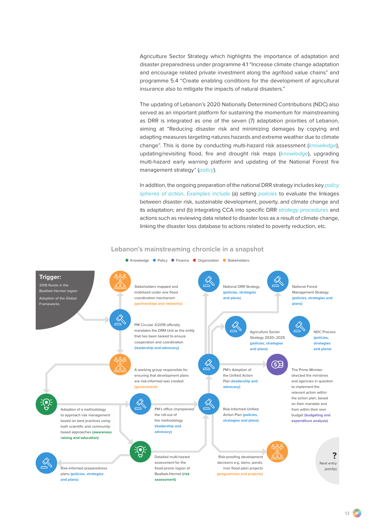Agriculture Sector Strategy which highlights the importance of adaptation and disaster preparedness under programme 4.1 "Increase climate change adaptation and encourage related private investment along the agrifood value chains" and programme 5.4 "Create enabling conditions for the development of agricultural insurance also to mitigate the impacts of natural disasters."

The updating of Lebanon's 2020 Nationally Determined Contributions (NDC) also served as an important platform for sustaining the momentum for mainstreaming as DRR is integrated as one of the seven (7) adaptation priorities of Lebanon, aiming at "Reducing disaster risk and minimizing damages by copying and adapting measures targeting natures hazards and extreme weather due to climate change". This is done by conducting multi-hazard risk assessment (*knowledge*), updating/revisiting flood, fire and drought risk maps (knowledge), upgrading multi-hazard early warning platform and updating of the National Forest fire management strategy" (policy).

In addition, the ongoing preparation of the national DRR strategy includes key policy spheres of action. Examples include (a) setting policies to evaluate the linkages between disaster risk, sustainable development, poverty, and climate change and its adaptation; and (b) integrating CCA into specific DRR strategy procedures and actions such as reviewing data related to disaster loss as a result of climate change, linking the disaster loss database to actions related to poverty reduction, etc.

#### **Lebanon's mainstreaming chronicle in a snapshot**

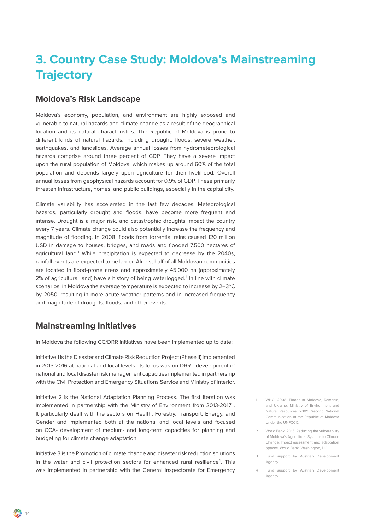# <span id="page-13-0"></span>**3. Country Case Study: Moldova's Mainstreaming Trajectory**

### **Moldova's Risk Landscape**

Moldova's economy, population, and environment are highly exposed and vulnerable to natural hazards and climate change as a result of the geographical location and its natural characteristics. The Republic of Moldova is prone to different kinds of natural hazards, including drought, floods, severe weather, earthquakes, and landslides. Average annual losses from hydrometeorological hazards comprise around three percent of GDP. They have a severe impact upon the rural population of Moldova, which makes up around 60% of the total population and depends largely upon agriculture for their livelihood. Overall annual losses from geophysical hazards account for 0.9% of GDP. These primarily threaten infrastructure, homes, and public buildings, especially in the capital city.

Climate variability has accelerated in the last few decades. Meteorological hazards, particularly drought and floods, have become more frequent and intense. Drought is a major risk, and catastrophic droughts impact the country every 7 years. Climate change could also potentially increase the frequency and magnitude of flooding. In 2008, floods from torrential rains caused 120 million USD in damage to houses, bridges, and roads and flooded 7,500 hectares of agricultural land.<sup>1</sup> While precipitation is expected to decrease by the 2040s, rainfall events are expected to be larger. Almost half of all Moldovan communities are located in flood-prone areas and approximately 45,000 ha (approximately 2% of agricultural land) have a history of being waterlogged.<sup>2</sup> In line with climate scenarios, in Moldova the average temperature is expected to increase by 2–3ºC by 2050, resulting in more acute weather patterns and in increased frequency and magnitude of droughts, floods, and other events.

### **Mainstreaming Initiatives**

In Moldova the following CC/DRR initiatives have been implemented up to date:

Initiative 1 is the Disaster and Climate Risk Reduction Project (Phase II) implemented in 2013-2016 at national and local levels. Its focus was on DRR - development of national and local disaster risk management capacities implemented in partnership with the Civil Protection and Emergency Situations Service and Ministry of Interior.

Initiative 2 is the National Adaptation Planning Process. The first iteration was implemented in partnership with the Ministry of Environment from 2013-2017 . It particularly dealt with the sectors on Health, Forestry, Transport, Energy, and Gender and implemented both at the national and local levels and focused on CCA- development of medium- and long-term capacities for planning and budgeting for climate change adaptation.

Initiative 3 is the Promotion of climate change and disaster risk reduction solutions in the water and civil protection sectors for enhanced rural resilience<sup>4</sup>. This was implemented in partnership with the General Inspectorate for Emergency

- 1 WHO. 2008. Floods in Moldova, Romania, and Ukraine; Ministry of Environment and Natural Resources. 2009. Second National Communication of the Republic of Moldova Under the UNFCCC.
- 2 World Bank. 2013. Reducing the vulnerability of Moldova's Agricultural Systems to Climate Change: Impact assessment and adaptation options. World Bank: Washington, DC
- Fund support by Austrian Development Agency
- Fund support by Austrian Development Agency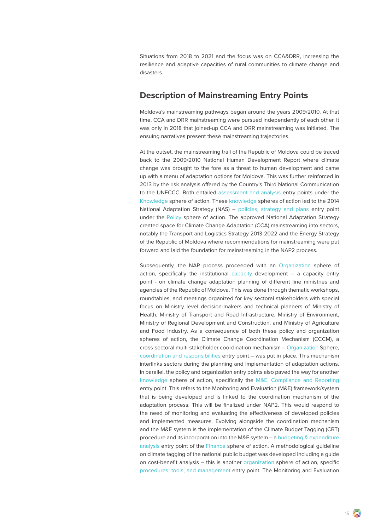Situations from 2018 to 2021 and the focus was on CCA&DRR, increasing the resilience and adaptive capacities of rural communities to climate change and disasters.

### **Description of Mainstreaming Entry Points**

Moldova's mainstreaming pathways began around the years 2009/2010. At that time, CCA and DRR mainstreaming were pursued independently of each other. It was only in 2018 that joined-up CCA and DRR mainstreaming was initiated. The ensuing narratives present these mainstreaming trajectories.

At the outset, the mainstreaming trail of the Republic of Moldova could be traced back to the 2009/2010 National Human Development Report where climate change was brought to the fore as a threat to human development and came up with a menu of adaptation options for Moldova. This was further reinforced in 2013 by the risk analysis offered by the Country's Third National Communication to the UNFCCC. Both entailed assessment and analysis entry points under the Knowledge sphere of action. These knowledge spheres of action led to the 2014 National Adaptation Strategy (NAS) – policies, strategy and plans entry point under the Policy sphere of action. The approved National Adaptation Strategy created space for Climate Change Adaptation (CCA) mainstreaming into sectors, notably the Transport and Logistics Strategy 2013-2022 and the Energy Strategy of the Republic of Moldova where recommendations for mainstreaming were put forward and laid the foundation for mainstreaming in the NAP2 process.

Subsequently, the NAP process proceeded with an Organization sphere of action, specifically the institutional capacity development – a capacity entry point - on climate change adaptation planning of different line ministries and agencies of the Republic of Moldova. This was done through thematic workshops, roundtables, and meetings organized for key sectoral stakeholders with special focus on Ministry level decision-makers and technical planners of Ministry of Health, Ministry of Transport and Road Infrastructure, Ministry of Environment, Ministry of Regional Development and Construction, and Ministry of Agriculture and Food Industry. As a consequence of both these policy and organization spheres of action, the Climate Change Coordination Mechanism (CCCM), a cross-sectoral multi-stakeholder coordination mechanism – Organization Sphere, coordination and responsibilities entry point – was put in place. This mechanism interlinks sectors during the planning and implementation of adaptation actions. In parallel, the policy and organization entry points also paved the way for another knowledge sphere of action, specifically the M&E, Compliance and Reporting entry point. This refers to the Monitoring and Evaluation (M&E) framework/system that is being developed and is linked to the coordination mechanism of the adaptation process. This will be finalized under NAP2. This would respond to the need of monitoring and evaluating the effectiveness of developed policies and implemented measures. Evolving alongside the coordination mechanism and the M&E system is the implementation of the Climate Budget Tagging (CBT) procedure and its incorporation into the M&E system – a budgeting & expenditure analysis entry point of the Finance sphere of action. A methodological guideline on climate tagging of the national public budget was developed including a guide on cost-benefit analysis – this is another organization sphere of action, specific procedures, tools, and management entry point. The Monitoring and Evaluation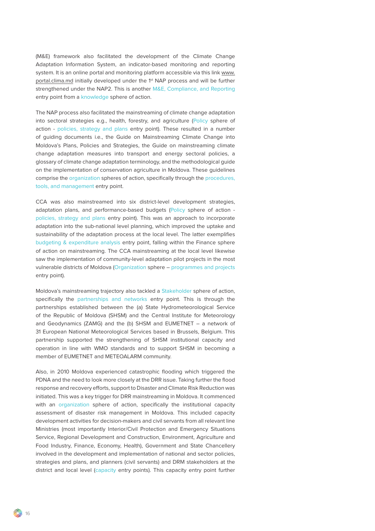(M&E) framework also facilitated the development of the Climate Change Adaptation Information System, an indicator-based monitoring and reporting system. It is an online portal and monitoring platform accessible via this link [www.](http://www.portal.clima.md) [portal.clima.md](http://www.portal.clima.md) initially developed under the 1<sup>st</sup> NAP process and will be further strengthened under the NAP2. This is another M&E, Compliance, and Reporting entry point from a knowledge sphere of action.

The NAP process also facilitated the mainstreaming of climate change adaptation into sectoral strategies e.g., health, forestry, and agriculture (Policy sphere of action - policies, strategy and plans entry point). These resulted in a number of guiding documents i.e., the Guide on Mainstreaming Climate Change into Moldova's Plans, Policies and Strategies, the Guide on mainstreaming climate change adaptation measures into transport and energy sectoral policies, a glossary of climate change adaptation terminology, and the methodological guide on the implementation of conservation agriculture in Moldova. These guidelines comprise the organization spheres of action, specifically through the procedures, tools, and management entry point.

CCA was also mainstreamed into six district-level development strategies, adaptation plans, and performance-based budgets (Policy sphere of action policies, strategy and plans entry point). This was an approach to incorporate adaptation into the sub-national level planning, which improved the uptake and sustainability of the adaptation process at the local level. The latter exemplifies budgeting & expenditure analysis entry point, falling within the Finance sphere of action on mainstreaming. The CCA mainstreaming at the local level likewise saw the implementation of community-level adaptation pilot projects in the most vulnerable districts of Moldova (Organization sphere – programmes and projects entry point).

Moldova's mainstreaming trajectory also tackled a Stakeholder sphere of action, specifically the partnerships and networks entry point. This is through the partnerships established between the (a) State Hydrometeorological Service of the Republic of Moldova (SHSM) and the Central Institute for Meteorology and Geodynamics (ZAMG) and the (b) SHSM and EUMETNET – a network of 31 European National Meteorological Services based in Brussels, Belgium. This partnership supported the strengthening of SHSM institutional capacity and operation in line with WMO standards and to support SHSM in becoming a member of EUMETNET and METEOALARM community.

Also, in 2010 Moldova experienced catastrophic flooding which triggered the PDNA and the need to look more closely at the DRR issue. Taking further the flood response and recovery efforts, support to Disaster and Climate Risk Reduction was initiated. This was a key trigger for DRR mainstreaming in Moldova. It commenced with an organization sphere of action, specifically the institutional capacity assessment of disaster risk management in Moldova. This included capacity development activities for decision-makers and civil servants from all relevant line Ministries (most importantly Interior/Civil Protection and Emergency Situations Service, Regional Development and Construction, Environment, Agriculture and Food Industry, Finance, Economy, Health), Government and State Chancellery involved in the development and implementation of national and sector policies, strategies and plans, and planners (civil servants) and DRM stakeholders at the district and local level (capacity entry points). This capacity entry point further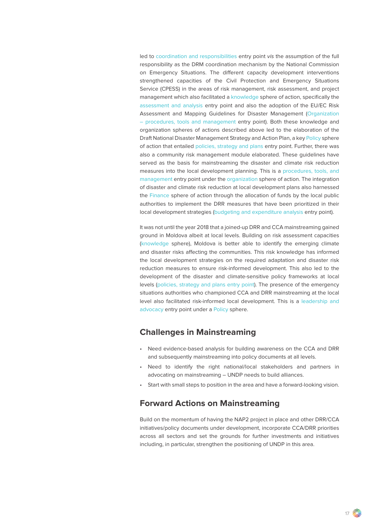led to coordination and responsibilities entry point vis the assumption of the full responsibility as the DRM coordination mechanism by the National Commission on Emergency Situations. The different capacity development interventions strengthened capacities of the Civil Protection and Emergency Situations Service (CPESS) in the areas of risk management, risk assessment, and project management which also facilitated a knowledge sphere of action, specifically the assessment and analysis entry point and also the adoption of the EU/EC Risk Assessment and Mapping Guidelines for Disaster Management (Organization – procedures, tools and management entry point). Both these knowledge and organization spheres of actions described above led to the elaboration of the Draft National Disaster Management Strategy and Action Plan, a key Policy sphere of action that entailed policies, strategy and plans entry point. Further, there was also a community risk management module elaborated. These guidelines have served as the basis for mainstreaming the disaster and climate risk reduction measures into the local development planning. This is a procedures, tools, and management entry point under the organization sphere of action. The integration of disaster and climate risk reduction at local development plans also harnessed the Finance sphere of action through the allocation of funds by the local public authorities to implement the DRR measures that have been prioritized in their local development strategies (budgeting and expenditure analysis entry point).

It was not until the year 2018 that a joined-up DRR and CCA mainstreaming gained ground in Moldova albeit at local levels. Building on risk assessment capacities (knowledge sphere), Moldova is better able to identify the emerging climate and disaster risks affecting the communities. This risk knowledge has informed the local development strategies on the required adaptation and disaster risk reduction measures to ensure risk-informed development. This also led to the development of the disaster and climate-sensitive policy frameworks at local levels (policies, strategy and plans entry point). The presence of the emergency situations authorities who championed CCA and DRR mainstreaming at the local level also facilitated risk-informed local development. This is a leadership and advocacy entry point under a Policy sphere.

### **Challenges in Mainstreaming**

- Need evidence-based analysis for building awareness on the CCA and DRR and subsequently mainstreaming into policy documents at all levels.
- Need to identify the right national/local stakeholders and partners in advocating on mainstreaming – UNDP needs to build alliances.
- Start with small steps to position in the area and have a forward-looking vision.

### **Forward Actions on Mainstreaming**

Build on the momentum of having the NAP2 project in place and other DRR/CCA initiatives/policy documents under development, incorporate CCA/DRR priorities across all sectors and set the grounds for further investments and initiatives including, in particular, strengthen the positioning of UNDP in this area.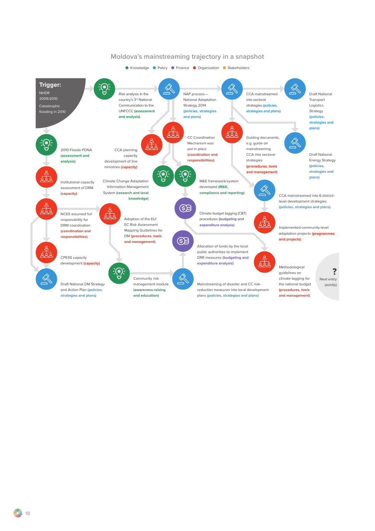

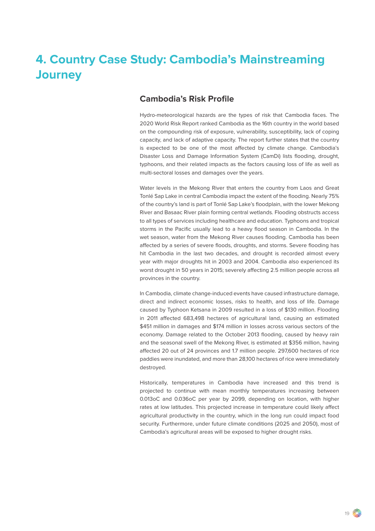# <span id="page-18-0"></span>**4. Country Case Study: Cambodia's Mainstreaming Journey**

### **Cambodia's Risk Profile**

Hydro-meteorological hazards are the types of risk that Cambodia faces. The 2020 World Risk Report ranked Cambodia as the 16th country in the world based on the compounding risk of exposure, vulnerability, susceptibility, lack of coping capacity, and lack of adaptive capacity. The report further states that the country is expected to be one of the most affected by climate change. Cambodia's Disaster Loss and Damage Information System (CamDi) lists flooding, drought, typhoons, and their related impacts as the factors causing loss of life as well as multi-sectoral losses and damages over the years.

Water levels in the Mekong River that enters the country from Laos and Great Tonlé Sap Lake in central Cambodia impact the extent of the flooding. Nearly 75% of the country's land is part of Tonlé Sap Lake's floodplain, with the lower Mekong River and Basaac River plain forming central wetlands. Flooding obstructs access to all types of services including healthcare and education. Typhoons and tropical storms in the Pacific usually lead to a heavy flood season in Cambodia. In the wet season, water from the Mekong River causes flooding. Cambodia has been affected by a series of severe floods, droughts, and storms. Severe flooding has hit Cambodia in the last two decades, and drought is recorded almost every year with major droughts hit in 2003 and 2004. Cambodia also experienced its worst drought in 50 years in 2015; severely affecting 2.5 million people across all provinces in the country.

In Cambodia, climate change-induced events have caused infrastructure damage, direct and indirect economic losses, risks to health, and loss of life. Damage caused by Typhoon Ketsana in 2009 resulted in a loss of \$130 million. Flooding in 2011 affected 683,498 hectares of agricultural land, causing an estimated \$451 million in damages and \$174 million in losses across various sectors of the economy. Damage related to the October 2013 flooding, caused by heavy rain and the seasonal swell of the Mekong River, is estimated at \$356 million, having affected 20 out of 24 provinces and 1.7 million people. 297,600 hectares of rice paddies were inundated, and more than 28,100 hectares of rice were immediately destroyed.

Historically, temperatures in Cambodia have increased and this trend is projected to continue with mean monthly temperatures increasing between 0.013oC and 0.036oC per year by 2099, depending on location, with higher rates at low latitudes. This projected increase in temperature could likely affect agricultural productivity in the country, which in the long run could impact food security. Furthermore, under future climate conditions (2025 and 2050), most of Cambodia's agricultural areas will be exposed to higher drought risks.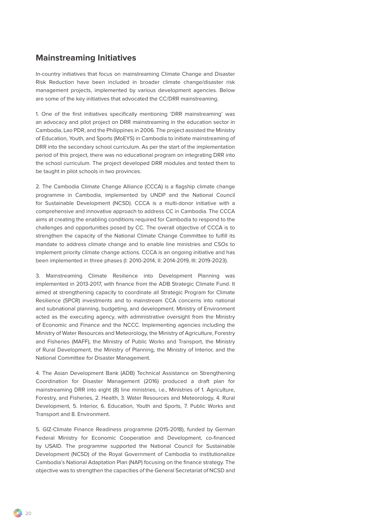### **Mainstreaming Initiatives**

In-country initiatives that focus on mainstreaming Climate Change and Disaster Risk Reduction have been included in broader climate change/disaster risk management projects, implemented by various development agencies. Below are some of the key initiatives that advocated the CC/DRR mainstreaming.

1. One of the first initiatives specifically mentioning 'DRR mainstreaming' was an advocacy and pilot project on DRR mainstreaming in the education sector in Cambodia, Lao PDR, and the Philippines in 2006. The project assisted the Ministry of Education, Youth, and Sports (MoEYS) in Cambodia to initiate mainstreaming of DRR into the secondary school curriculum. As per the start of the implementation period of this project, there was no educational program on integrating DRR into the school curriculum. The project developed DRR modules and tested them to be taught in pilot schools in two provinces.

2. The Cambodia Climate Change Alliance (CCCA) is a flagship climate change programme in Cambodia, implemented by UNDP and the National Council for Sustainable Development (NCSD). CCCA is a multi-donor initiative with a comprehensive and innovative approach to address CC in Cambodia. The CCCA aims at creating the enabling conditions required for Cambodia to respond to the challenges and opportunities posed by CC. The overall objective of CCCA is to strengthen the capacity of the National Climate Change Committee to fulfill its mandate to address climate change and to enable line ministries and CSOs to implement priority climate change actions. CCCA is an ongoing initiative and has been implemented in three phases (I: 2010-2014, II: 2014-2019, III: 2019-2023).

3. Mainstreaming Climate Resilience into Development Planning was implemented in 2013-2017, with finance from the ADB Strategic Climate Fund. It aimed at strengthening capacity to coordinate all Strategic Program for Climate Resilience (SPCR) investments and to mainstream CCA concerns into national and subnational planning, budgeting, and development. Ministry of Environment acted as the executing agency, with administrative oversight from the Ministry of Economic and Finance and the NCCC. Implementing agencies including the Ministry of Water Resources and Meteorology, the Ministry of Agriculture, Forestry and Fisheries (MAFF), the Ministry of Public Works and Transport, the Ministry of Rural Development, the Ministry of Planning, the Ministry of Interior, and the National Committee for Disaster Management.

4. The Asian Development Bank (ADB) Technical Assistance on Strengthening Coordination for Disaster Management (2016) produced a draft plan for mainstreaming DRR into eight (8) line ministries, i.e., Ministries of 1. Agriculture, Forestry, and Fisheries, 2. Health, 3. Water Resources and Meteorology, 4. Rural Development, 5. Interior, 6. Education, Youth and Sports, 7. Public Works and Transport and 8. Environment.

5. GIZ-Climate Finance Readiness programme (2015-2018), funded by German Federal Ministry for Economic Cooperation and Development, co-financed by USAID. The programme supported the National Council for Sustainable Development (NCSD) of the Royal Government of Cambodia to institutionalize Cambodia's National Adaptation Plan (NAP) focusing on the finance strategy. The objective was to strengthen the capacities of the General Secretariat of NCSD and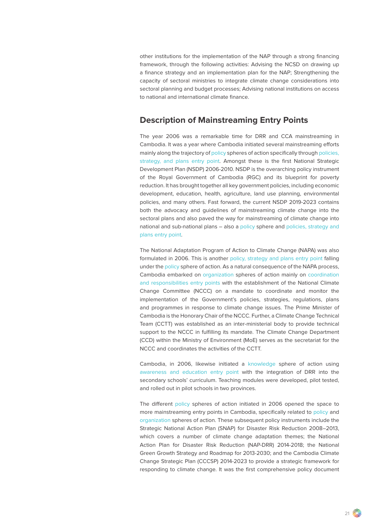other institutions for the implementation of the NAP through a strong financing framework, through the following activities: Advising the NCSD on drawing up a finance strategy and an implementation plan for the NAP; Strengthening the capacity of sectoral ministries to integrate climate change considerations into sectoral planning and budget processes; Advising national institutions on access to national and international climate finance.

### **Description of Mainstreaming Entry Points**

The year 2006 was a remarkable time for DRR and CCA mainstreaming in Cambodia. It was a year where Cambodia initiated several mainstreaming efforts mainly along the trajectory of policy spheres of action specifically through policies, strategy, and plans entry point. Amongst these is the first National Strategic Development Plan (NSDP) 2006-2010. NSDP is the overarching policy instrument of the Royal Government of Cambodia (RGC) and its blueprint for poverty reduction. It has brought together all key government policies, including economic development, education, health, agriculture, land use planning, environmental policies, and many others. Fast forward, the current NSDP 2019-2023 contains both the advocacy and guidelines of mainstreaming climate change into the sectoral plans and also paved the way for mainstreaming of climate change into national and sub-national plans – also a policy sphere and policies, strategy and plans entry point.

The National Adaptation Program of Action to Climate Change (NAPA) was also formulated in 2006. This is another policy, strategy and plans entry point falling under the policy sphere of action. As a natural consequence of the NAPA process, Cambodia embarked on organization spheres of action mainly on coordination and responsibilities entry points with the establishment of the National Climate Change Committee (NCCC) on a mandate to coordinate and monitor the implementation of the Government's policies, strategies, regulations, plans and programmes in response to climate change issues. The Prime Minister of Cambodia is the Honorary Chair of the NCCC. Further, a Climate Change Technical Team (CCTT) was established as an inter-ministerial body to provide technical support to the NCCC in fulfilling its mandate. The Climate Change Department (CCD) within the Ministry of Environment (MoE) serves as the secretariat for the NCCC and coordinates the activities of the CCTT.

Cambodia, in 2006, likewise initiated a knowledge sphere of action using awareness and education entry point with the integration of DRR into the secondary schools' curriculum. Teaching modules were developed, pilot tested, and rolled out in pilot schools in two provinces.

The different policy spheres of action initiated in 2006 opened the space to more mainstreaming entry points in Cambodia, specifically related to policy and organization spheres of action. These subsequent policy instruments include the Strategic National Action Plan (SNAP) for Disaster Risk Reduction 2008–2013, which covers a number of climate change adaptation themes; the National Action Plan for Disaster Risk Reduction (NAP-DRR) 2014-2018; the National Green Growth Strategy and Roadmap for 2013-2030; and the Cambodia Climate Change Strategic Plan (CCCSP) 2014-2023 to provide a strategic framework for responding to climate change. It was the first comprehensive policy document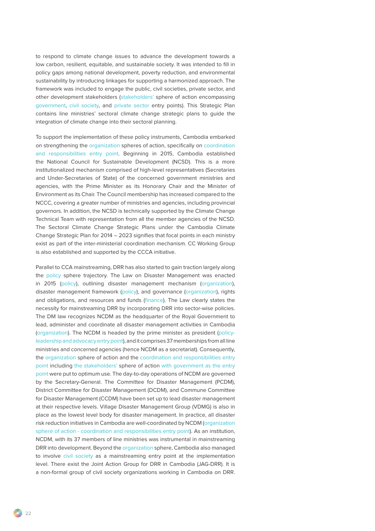to respond to climate change issues to advance the development towards a low carbon, resilient, equitable, and sustainable society. It was intended to fill in policy gaps among national development, poverty reduction, and environmental sustainability by introducing linkages for supporting a harmonized approach. The framework was included to engage the public, civil societies, private sector, and other development stakeholders (stakeholders' sphere of action encompassing government, civil society, and private sector entry points). This Strategic Plan contains line ministries' sectoral climate change strategic plans to guide the integration of climate change into their sectoral planning.

To support the implementation of these policy instruments, Cambodia embarked on strengthening the organization spheres of action, specifically on coordination and responsibilities entry point. Beginning in 2015, Cambodia established the National Council for Sustainable Development (NCSD). This is a more institutionalized mechanism comprised of high-level representatives (Secretaries and Under-Secretaries of State) of the concerned government ministries and agencies, with the Prime Minister as its Honorary Chair and the Minister of Environment as its Chair. The Council membership has increased compared to the NCCC, covering a greater number of ministries and agencies, including provincial governors. In addition, the NCSD is technically supported by the Climate Change Technical Team with representation from all the member agencies of the NCSD. The Sectoral Climate Change Strategic Plans under the Cambodia Climate Change Strategic Plan for 2014 – 2023 signifies that focal points in each ministry exist as part of the inter-ministerial coordination mechanism. CC Working Group is also established and supported by the CCCA initiative.

Parallel to CCA mainstreaming, DRR has also started to gain traction largely along the policy sphere trajectory. The Law on Disaster Management was enacted in 2015 (policy), outlining disaster management mechanism (organization), disaster management framework (policy), and governance (organization), rights and obligations, and resources and funds (finance). The Law clearly states the necessity for mainstreaming DRR by incorporating DRR into sector-wise policies. The DM law recognizes NCDM as the headquarter of the Royal Government to lead, administer and coordinate all disaster management activities in Cambodia (organization). The NCDM is headed by the prime minister as president (policyleadership and advocacy entry point), and it comprises 37 memberships from all line ministries and concerned agencies (hence NCDM as a secretariat). Consequently, the organization sphere of action and the coordination and responsibilities entry point including the stakeholders' sphere of action with government as the entry point were put to optimum use. The day-to-day operations of NCDM are governed by the Secretary-General. The Committee for Disaster Management (PCDM), District Committee for Disaster Management (DCDM), and Commune Committee for Disaster Management (CCDM) have been set up to lead disaster management at their respective levels. Village Disaster Management Group (VDMG) is also in place as the lowest level body for disaster management. In practice, all disaster risk reduction initiatives in Cambodia are well-coordinated by NCDM (organization sphere of action - coordination and responsibilities entry point). As an institution, NCDM, with its 37 members of line ministries was instrumental in mainstreaming DRR into development. Beyond the organization sphere, Cambodia also managed to involve civil society as a mainstreaming entry point at the implementation level. There exist the Joint Action Group for DRR in Cambodia (JAG-DRR). It is a non-formal group of civil society organizations working in Cambodia on DRR.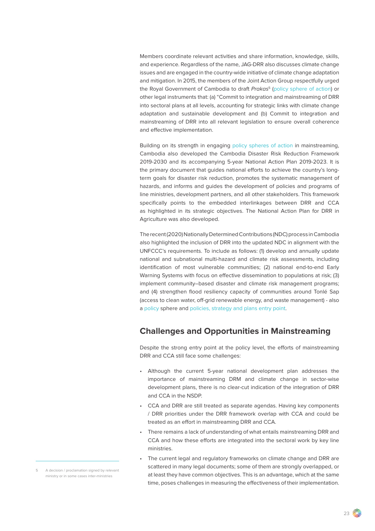Members coordinate relevant activities and share information, knowledge, skills, and experience. Regardless of the name, JAG-DRR also discusses climate change issues and are engaged in the country-wide initiative of climate change adaptation and mitigation. In 2015, the members of the Joint Action Group respectfully urged the Royal Government of Cambodia to draft Prakas<sup>5</sup> (policy sphere of action) or other legal instruments that: (a) "Commit to integration and mainstreaming of DRR into sectoral plans at all levels, accounting for strategic links with climate change adaptation and sustainable development and (b) Commit to integration and mainstreaming of DRR into all relevant legislation to ensure overall coherence and effective implementation.

Building on its strength in engaging policy spheres of action in mainstreaming, Cambodia also developed the Cambodia Disaster Risk Reduction Framework 2019-2030 and its accompanying 5-year National Action Plan 2019-2023. It is the primary document that guides national efforts to achieve the country's longterm goals for disaster risk reduction, promotes the systematic management of hazards, and informs and guides the development of policies and programs of line ministries, development partners, and all other stakeholders. This framework specifically points to the embedded interlinkages between DRR and CCA as highlighted in its strategic objectives. The National Action Plan for DRR in Agriculture was also developed.

The recent (2020) Nationally Determined Contributions (NDC) process in Cambodia also highlighted the inclusion of DRR into the updated NDC in alignment with the UNFCCC's requirements. To include as follows: (1) develop and annually update national and subnational multi-hazard and climate risk assessments, including identification of most vulnerable communities; (2) national end-to-end Early Warning Systems with focus on effective dissemination to populations at risk; (3) implement community–based disaster and climate risk management programs; and (4) strengthen flood resiliency capacity of communities around Tonlé Sap (access to clean water, off-grid renewable energy, and waste management) - also a policy sphere and policies, strategy and plans entry point.

### **Challenges and Opportunities in Mainstreaming**

Despite the strong entry point at the policy level, the efforts of mainstreaming DRR and CCA still face some challenges:

- Although the current 5-year national development plan addresses the importance of mainstreaming DRM and climate change in sector-wise development plans, there is no clear-cut indication of the integration of DRR and CCA in the NSDP.
- CCA and DRR are still treated as separate agendas. Having key components / DRR priorities under the DRR framework overlap with CCA and could be treated as an effort in mainstreaming DRR and CCA.
- There remains a lack of understanding of what entails mainstreaming DRR and CCA and how these efforts are integrated into the sectoral work by key line ministries.
- The current legal and regulatory frameworks on climate change and DRR are scattered in many legal documents; some of them are strongly overlapped, or at least they have common objectives. This is an advantage, which at the same time, poses challenges in measuring the effectiveness of their implementation.
- A decision / proclamation signed by relevant ministry or in some cases inter-ministries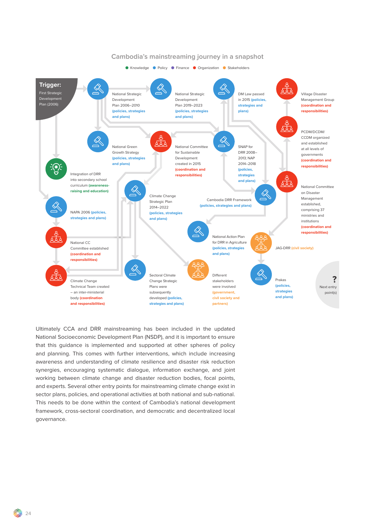

Ultimately CCA and DRR mainstreaming has been included in the updated National Socioeconomic Development Plan (NSDP), and it is important to ensure that this guidance is implemented and supported at other spheres of policy and planning. This comes with further interventions, which include increasing awareness and understanding of climate resilience and disaster risk reduction synergies, encouraging systematic dialogue, information exchange, and joint working between climate change and disaster reduction bodies, focal points, and experts. Several other entry points for mainstreaming climate change exist in sector plans, policies, and operational activities at both national and sub-national. This needs to be done within the context of Cambodia's national development

framework, cross-sectoral coordination, and democratic and decentralized local

governance.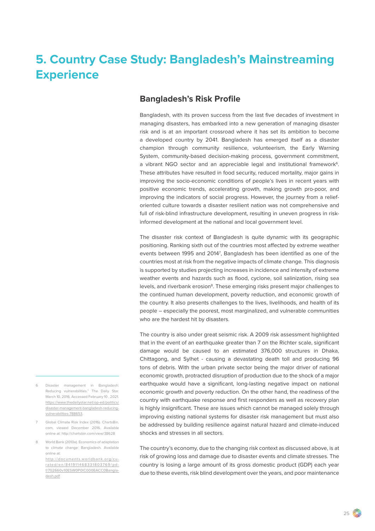## <span id="page-24-0"></span>**5. Country Case Study: Bangladesh's Mainstreaming Experience**

### **Bangladesh's Risk Profile**

Bangladesh, with its proven success from the last five decades of investment in managing disasters, has embarked into a new generation of managing disaster risk and is at an important crossroad where it has set its ambition to become a developed country by 2041. Bangladesh has emerged itself as a disaster champion through community resilience, volunteerism, the Early Warning System, community-based decision-making process, government commitment, a vibrant NGO sector and an appreciable legal and institutional framework<sup>6</sup>. These attributes have resulted in food security, reduced mortality, major gains in improving the socio-economic conditions of people's lives in recent years with positive economic trends, accelerating growth, making growth pro-poor, and improving the indicators of social progress. However, the journey from a relieforiented culture towards a disaster resilient nation was not comprehensive and full of risk-blind infrastructure development, resulting in uneven progress in riskinformed development at the national and local government level.

The disaster risk context of Bangladesh is quite dynamic with its geographic positioning. Ranking sixth out of the countries most affected by extreme weather events between 1995 and 2014<sup>7</sup>, Bangladesh has been identified as one of the countries most at risk from the negative impacts of climate change. This diagnosis is supported by studies projecting increases in incidence and intensity of extreme weather events and hazards such as flood, cyclone, soil salinization, rising sea levels, and riverbank erosion<sup>8</sup>. These emerging risks present major challenges to the continued human development, poverty reduction, and economic growth of the country. It also presents challenges to the lives, livelihoods, and health of its people – especially the poorest, most marginalized, and vulnerable communities who are the hardest hit by disasters.

The country is also under great seismic risk. A 2009 risk assessment highlighted that in the event of an earthquake greater than 7 on the Richter scale, significant damage would be caused to an estimated 376,000 structures in Dhaka, Chittagong, and Sylhet - causing a devastating death toll and producing 96 tons of debris. With the urban private sector being the major driver of national economic growth, protracted disruption of production due to the shock of a major earthquake would have a significant, long-lasting negative impact on national economic growth and poverty reduction. On the other hand, the readiness of the country with earthquake response and first responders as well as recovery plan is highly insignificant. These are issues which cannot be managed solely through improving existing national systems for disaster risk management but must also be addressed by building resilience against natural hazard and climate-induced shocks and stresses in all sectors.

The country's economy, due to the changing risk context as discussed above, is at risk of growing loss and damage due to disaster events and climate stresses. The country is losing a large amount of its gross domestic product (GDP) each year due to these events, risk blind development over the years, and poor maintenance

- 6 Disaster management in Bangladesh: Reducing vulnerabilities." The Daily Star. March 10, 2016. Accessed February 10 , 2021. [https://www.thedailystar.net/op-ed/politics/](https://www.thedailystar.net/op-ed/politics/disaster-management-bangladesh-reducing-vulnerabilities-788653) [disaster-management-bangladesh-reducing](https://www.thedailystar.net/op-ed/politics/disaster-management-bangladesh-reducing-vulnerabilities-788653)[vulnerabilities-788653.](https://www.thedailystar.net/op-ed/politics/disaster-management-bangladesh-reducing-vulnerabilities-788653)
- 7 Global Climate Risk Index (2016). ChartsBin. com, viewed December 2016. Available online at: http://chartsbin.com/view/38628
- World Bank (2010a). Economics of adaptation to climate change: Bangladesh. Available online at: [http://documents.worldbank.org/cu](http://documents.worldbank.org/curated/en/841911468331803769/pdf/702660v10ESW0P0IC000EACC0Bangladesh.pdf)[rated/en/841911468331803769/pd](http://documents.worldbank.org/curated/en/841911468331803769/pdf/702660v10ESW0P0IC000EACC0Bangladesh.pdf) [f/702660v10ESW0P0IC000EACC0Bangla](http://documents.worldbank.org/curated/en/841911468331803769/pdf/702660v10ESW0P0IC000EACC0Bangladesh.pdf)[desh.pdf](http://documents.worldbank.org/curated/en/841911468331803769/pdf/702660v10ESW0P0IC000EACC0Bangladesh.pdf)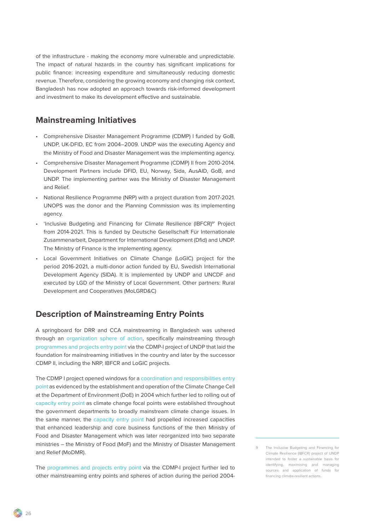of the infrastructure - making the economy more vulnerable and unpredictable. The impact of natural hazards in the country has significant implications for public finance: increasing expenditure and simultaneously reducing domestic revenue. Therefore, considering the growing economy and changing risk context, Bangladesh has now adopted an approach towards risk-informed development and investment to make its development effective and sustainable.

### **Mainstreaming Initiatives**

- Comprehensive Disaster Management Programme (CDMP) I funded by GoB, UNDP, UK-DFID, EC from 2004–2009. UNDP was the executing Agency and the Ministry of Food and Disaster Management was the implementing agency.
- Comprehensive Disaster Management Programme (CDMP) II from 2010-2014. Development Partners include DFID, EU, Norway, Sida, AusAID, GoB, and UNDP. The implementing partner was the Ministry of Disaster Management and Relief.
- National Resilience Programme (NRP) with a project duration from 2017-2021. UNOPS was the donor and the Planning Commission was its implementing agency.
- 'Inclusive Budgeting and Financing for Climate Resilience (IBFCR)<sup>9</sup>' Project from 2014-2021. This is funded by Deutsche Gesellschaft Für Internationale Zusammenarbeit, Department for International Development (Dfid) and UNDP. The Ministry of Finance is the implementing agency.
- Local Government Initiatives on Climate Change (LoGIC) project for the period 2016-2021, a multi-donor action funded by EU, Swedish International Development Agency (SIDA). It is implemented by UNDP and UNCDF and executed by LGD of the Ministry of Local Government. Other partners: Rural Development and Cooperatives (MoLGRD&C)

### **Description of Mainstreaming Entry Points**

A springboard for DRR and CCA mainstreaming in Bangladesh was ushered through an organization sphere of action, specifically mainstreaming through programmes and projects entry point via the CDMP-I project of UNDP that laid the foundation for mainstreaming initiatives in the country and later by the successor CDMP II, including the NRP, IBFCR and LoGIC projects.

The CDMP I project opened windows for a coordination and responsibilities entry point as evidenced by the establishment and operation of the Climate Change Cell at the Department of Environment (DoE) in 2004 which further led to rolling out of capacity entry point as climate change focal points were established throughout the government departments to broadly mainstream climate change issues. In the same manner, the capacity entry point had propelled increased capacities that enhanced leadership and core business functions of the then Ministry of Food and Disaster Management which was later reorganized into two separate ministries – the Ministry of Food (MoF) and the Ministry of Disaster Management and Relief (MoDMR).

The programmes and projects entry point via the CDMP-I project further led to other mainstreaming entry points and spheres of action during the period 20049 The Inclusive Budgeting and Financing for Climate Resilience (IBFCR) project of UNDP intended to foster a sustainable basis for identifying, maximising and managing sources and application of funds for financing climate-resilient actions.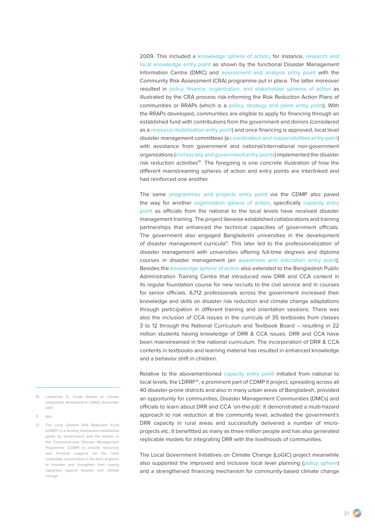2009. This included a knowledge sphere of action, for instance, research and local knowledge entry point as shown by the functional Disaster Management Information Centre (DMIC) and assessment and analysis entry point with the Community Risk Assessment (CRA) programme put in place. The latter moreover resulted in policy, finance, organization, and stakeholder spheres of action as illustrated by the CRA process risk-informing the Risk Reduction Action Plans of communities or RRAPs (which is a policy, strategy and plans entry point). With the RRAPs developed, communities are eligible to apply for financing through an established fund with contributions from the government and donors (considered as a resource mobilization entry point) and once financing is approved, local level disaster management committees (a coordination and responsibilities entry point) with assistance from government and national/international non-government organizations (civil society and government entry points) implemented the disaster risk reduction activities<sup>10</sup>. The foregoing is one concrete illustration of how the different mainstreaming spheres of action and entry points are interlinked and had reinforced one another.

The same programmes and projects entry point via the CDMP also paved the way for another organization sphere of action, specifically capacity entry point as officials from the national to the local levels have received disaster management training. The project likewise established collaborations and training partnerships that enhanced the technical capacities of government officials. The government also engaged Bangladeshi universities in the development of disaster management curricula<sup>11</sup>. This later led to the professionalization of disaster management with universities offering full-time degrees and diploma courses in disaster management (an awareness and education entry point). Besides the knowledge sphere of action also extended to the Bangladesh Public Administration Training Centre that introduced new DRR and CCA content in its regular foundation course for new recruits to the civil service and in courses for senior officials. 6,712 professionals across the government increased their knowledge and skills on disaster risk reduction and climate change adaptations through participation in different training and orientation sessions. There was also the inclusion of CCA issues in the curricula of 35 textbooks from classes 3 to 12 through the National Curriculum and Textbook Board – resulting in 22 million students having knowledge of DRR & CCA issues. DRR and CCA have been mainstreamed in the national curriculum. The incorporation of DRR & CCA contents in textbooks and learning material has resulted in enhanced knowledge and a behavior shift in children.

Relative to the abovementioned capacity entry point initiated from national to local levels, the LDRRF<sup>12</sup>, a prominent part of CDMP II project, spreading across all 40 disaster-prone districts and also in many urban areas of Bangladesh, provided an opportunity for communities, Disaster Management Communities (DMCs) and officials to learn about DRR and CCA 'on-the-job'. It demonstrated a multi-hazard approach to risk reduction at the community level, activated the government's DRR capacity in rural areas and successfully delivered a number of microprojects etc. It benefitted as many as three million people and has also generated replicable models for integrating DRR with the livelihoods of communities.

The Local Government Initiatives on Climate Change (LoGIC) project meanwhile also supported the improved and inclusive local level planning (policy sphere) and a strengthened financing mechanism for community-based climate change

- 10 Luxbacher, K., Inside Stories on climate compatible development, CDKN, December 2011.
- 11 Ibid.
- 12 The Local Disaster Risk Reduction Fund (LDRRF) is a funding mechanism established jointly by Government and the donors in the Comprehensive Disaster Management Programme (CDMP) to provide resources and financial supports for the most vulnerable communities in the form of grants to broaden and strengthen their coping capacities against disaster and climate change.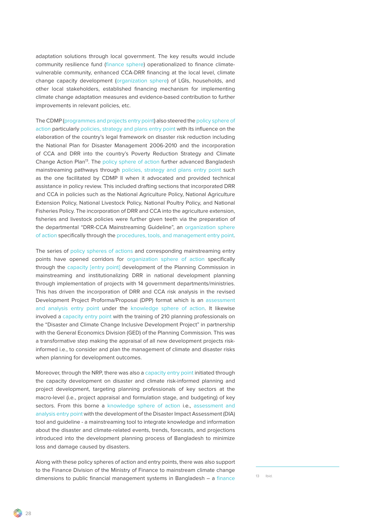adaptation solutions through local government. The key results would include community resilience fund (finance sphere) operationalized to finance climatevulnerable community, enhanced CCA-DRR financing at the local level, climate change capacity development (organization sphere) of LGIs, households, and other local stakeholders, established financing mechanism for implementing climate change adaptation measures and evidence-based contribution to further improvements in relevant policies, etc.

The CDMP (programmes and projects entry point) also steered the policy sphere of action particularly policies, strategy and plans entry point with its influence on the elaboration of the country's legal framework on disaster risk reduction including the National Plan for Disaster Management 2006-2010 and the incorporation of CCA and DRR into the country's Poverty Reduction Strategy and Climate Change Action Plan<sup>13</sup>. The policy sphere of action further advanced Bangladesh mainstreaming pathways through policies, strategy and plans entry point such as the one facilitated by CDMP II when it advocated and provided technical assistance in policy review. This included drafting sections that incorporated DRR and CCA in policies such as the National Agriculture Policy, National Agriculture Extension Policy, National Livestock Policy, National Poultry Policy, and National Fisheries Policy. The incorporation of DRR and CCA into the agriculture extension, fisheries and livestock policies were further given teeth via the preparation of the departmental "DRR-CCA Mainstreaming Guideline", an organization sphere of action specifically through the procedures, tools, and management entry point.

The series of policy spheres of actions and corresponding mainstreaming entry points have opened corridors for organization sphere of action specifically through the capacity [entry point] development of the Planning Commission in mainstreaming and institutionalizing DRR in national development planning through implementation of projects with 14 government departments/ministries. This has driven the incorporation of DRR and CCA risk analysis in the revised Development Project Proforma/Proposal (DPP) format which is an assessment and analysis entry point under the knowledge sphere of action. It likewise involved a capacity entry point with the training of 210 planning professionals on the "Disaster and Climate Change Inclusive Development Project" in partnership with the General Economics Division (GED) of the Planning Commission. This was a transformative step making the appraisal of all new development projects riskinformed i.e., to consider and plan the management of climate and disaster risks when planning for development outcomes.

Moreover, through the NRP, there was also a capacity entry point initiated through the capacity development on disaster and climate risk-informed planning and project development, targeting planning professionals of key sectors at the macro-level (i.e., project appraisal and formulation stage, and budgeting) of key sectors. From this borne a knowledge sphere of action i.e., assessment and analysis entry point with the development of the Disaster Impact Assessment (DIA) tool and guideline - a mainstreaming tool to integrate knowledge and information about the disaster and climate-related events, trends, forecasts, and projections introduced into the development planning process of Bangladesh to minimize loss and damage caused by disasters.

Along with these policy spheres of action and entry points, there was also support to the Finance Division of the Ministry of Finance to mainstream climate change dimensions to public financial management systems in Bangladesh – a finance  $13$  Ibid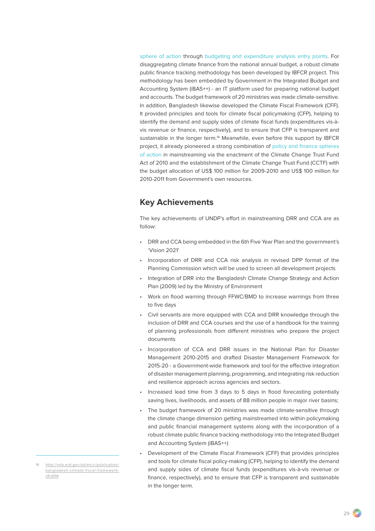sphere of action through budgeting and expenditure analysis entry points. For disaggregating climate finance from the national annual budget, a robust climate public finance tracking methodology has been developed by IBFCR project. This methodology has been embedded by Government in the Integrated Budget and Accounting System (iBAS++) - an IT platform used for preparing national budget and accounts. The budget framework of 20 ministries was made climate-sensitive. In addition, Bangladesh likewise developed the Climate Fiscal Framework (CFF). It provided principles and tools for climate fiscal policymaking (CFP), helping to identify the demand and supply sides of climate fiscal funds (expenditures vis-àvis revenue or finance, respectively), and to ensure that CFP is transparent and sustainable in the longer term.<sup>14</sup> Meanwhile, even before this support by IBFCR project, it already pioneered a strong combination of policy and finance spheres of action in mainstreaming via the enactment of the Climate Change Trust Fund Act of 2010 and the establishment of the Climate Change Trust Fund (CCTF) with the budget allocation of US\$ 100 million for 2009-2010 and US\$ 100 million for 2010-2011 from Government's own resources.

### **Key Achievements**

The key achievements of UNDP's effort in mainstreaming DRR and CCA are as follow:

- DRR and CCA being embedded in the 6th Five Year Plan and the government's 'Vision 2021'
- Incorporation of DRR and CCA risk analysis in revised DPP format of the Planning Commission which will be used to screen all development projects
- Integration of DRR into the Bangladesh Climate Change Strategy and Action Plan (2009) led by the Ministry of Environment
- Work on flood warning through FFWC/BMD to increase warnings from three to five days
- Civil servants are more equipped with CCA and DRR knowledge through the inclusion of DRR and CCA courses and the use of a handbook for the training of planning professionals from different ministries who prepare the project documents
- Incorporation of CCA and DRR issues in the National Plan for Disaster Management 2010-2015 and drafted Disaster Management Framework for 2015-20 - a Government-wide framework and tool for the effective integration of disaster management planning, programming, and integrating risk reduction and resilience approach across agencies and sectors.
- Increased lead time from 3 days to 5 days in flood forecasting potentially saving lives, livelihoods, and assets of 88 million people in major river basins;
- The budget framework of 20 ministries was made climate-sensitive through the climate change dimension getting mainstreamed into within policymaking and public financial management systems along with the incorporation of a robust climate public finance tracking methodology into the Integrated Budget and Accounting System (iBAS++)
- Development of the Climate Fiscal Framework (CFF) that provides principles and tools for climate fiscal policy-making (CFP), helping to identify the demand and supply sides of climate fiscal funds (expenditures vis-à-vis revenue or finance, respectively), and to ensure that CFP is transparent and sustainable in the longer term.

[http://nda.erd.gov.bd/en/c/publication/](http://nda.erd.gov.bd/en/c/publication/bangladesh-climate-fiscal-framework-cff-2014) [bangladesh-climate-fiscal-framework](http://nda.erd.gov.bd/en/c/publication/bangladesh-climate-fiscal-framework-cff-2014)[cff-2014](http://nda.erd.gov.bd/en/c/publication/bangladesh-climate-fiscal-framework-cff-2014)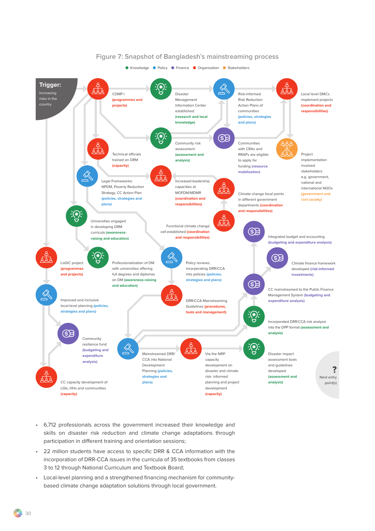

#### **Figure 7: Snapshot of Bangladesh's mainstreaming process**

- 6,712 professionals across the government increased their knowledge and skills on disaster risk reduction and climate change adaptations through participation in different training and orientation sessions;
- 22 million students have access to specific DRR & CCA information with the incorporation of DRR-CCA issues in the curricula of 35 textbooks from classes 3 to 12 through National Curriculum and Textbook Board;
- Local-level planning and a strengthened financing mechanism for communitybased climate change adaptation solutions through local government.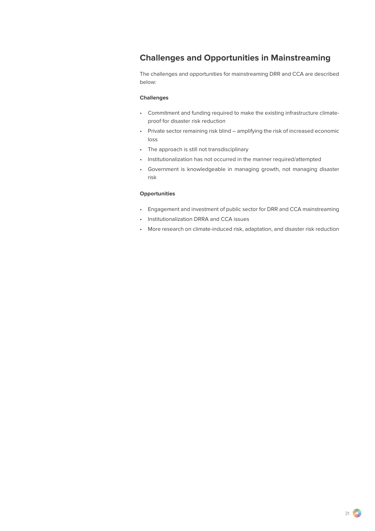### **Challenges and Opportunities in Mainstreaming**

The challenges and opportunities for mainstreaming DRR and CCA are described below:

#### **Challenges**

- Commitment and funding required to make the existing infrastructure climateproof for disaster risk reduction
- Private sector remaining risk blind amplifying the risk of increased economic loss
- The approach is still not transdisciplinary
- Institutionalization has not occurred in the manner required/attempted
- Government is knowledgeable in managing growth, not managing disaster risk

#### **Opportunities**

- Engagement and investment of public sector for DRR and CCA mainstreaming
- Institutionalization DRRA and CCA issues
- More research on climate-induced risk, adaptation, and disaster risk reduction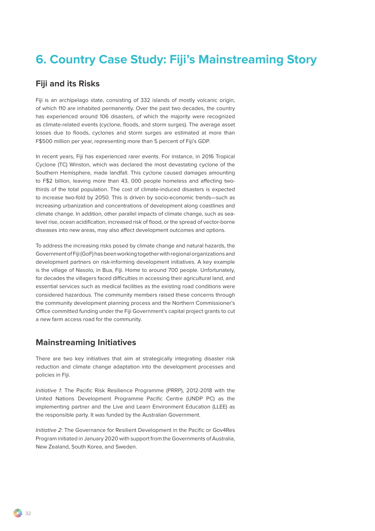## <span id="page-31-0"></span>**6. Country Case Study: Fiji's Mainstreaming Story**

#### **Fiji and its Risks**

Fiji is an archipelago state, consisting of 332 islands of mostly volcanic origin, of which 110 are inhabited permanently. Over the past two decades, the country has experienced around 106 disasters, of which the majority were recognized as climate-related events (cyclone, floods, and storm surges). The average asset losses due to floods, cyclones and storm surges are estimated at more than F\$500 million per year, representing more than 5 percent of Fiji's GDP.

In recent years, Fiji has experienced rarer events. For instance, in 2016 Tropical Cyclone (TC) Winston, which was declared the most devastating cyclone of the Southern Hemisphere, made landfall. This cyclone caused damages amounting to F\$2 billion, leaving more than 43, 000 people homeless and affecting twothirds of the total population. The cost of climate-induced disasters is expected to increase two-fold by 2050. This is driven by socio-economic trends—such as increasing urbanization and concentrations of development along coastlines and climate change. In addition, other parallel impacts of climate change, such as sealevel rise, ocean acidification, increased risk of flood, or the spread of vector-borne diseases into new areas, may also affect development outcomes and options.

To address the increasing risks posed by climate change and natural hazards, the Government of Fiji (GoF) has been working together with regional organizations and development partners on risk-informing development initiatives. A key example is the village of Nasolo, in Bua, Fiji. Home to around 700 people. Unfortunately, for decades the villagers faced difficulties in accessing their agricultural land, and essential services such as medical facilities as the existing road conditions were considered hazardous. The community members raised these concerns through the community development planning process and the Northern Commissioner's Office committed funding under the Fiji Government's capital project grants to cut a new farm access road for the community.

### **Mainstreaming Initiatives**

There are two key initiatives that aim at strategically integrating disaster risk reduction and climate change adaptation into the development processes and policies in Fiji.

Initiative 1: The Pacific Risk Resilience Programme (PRRP), 2012-2018 with the United Nations Development Programme Pacific Centre (UNDP PC) as the implementing partner and the Live and Learn Environment Education (LLEE) as the responsible party. It was funded by the Australian Government.

Initiative 2: The Governance for Resilient Development in the Pacific or Gov4Res Program initiated in January 2020 with support from the Governments of Australia, New Zealand, South Korea, and Sweden.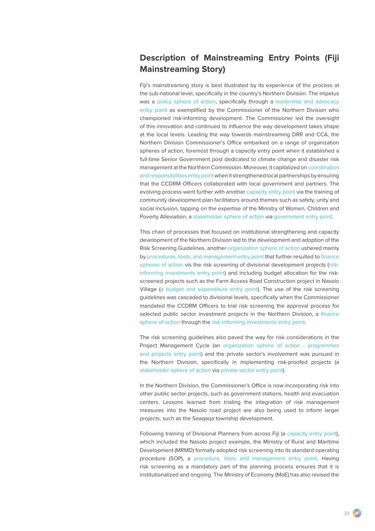### **Description of Mainstreaming Entry Points (Fiji Mainstreaming Story)**

Fiji's mainstreaming story is best illustrated by its experience of the process at the sub-national level, specifically in the country's Northern Division. The impetus was a policy sphere of action, specifically through a leadership and advocacy entry point as exemplified by the Commissioner of the Northern Division who championed risk-informing development. The Commissioner led the oversight of this innovation and continued to influence the way development takes shape at the local levels. Leading the way towards mainstreaming DRR and CCA, the Northern Division Commissioner's Office embarked on a range of organization spheres of action, foremost through a capacity entry point when it established a full-time Senior Government post dedicated to climate change and disaster risk management at the Northern Commission. Moreover, it capitalized on coordination and responsibilities entry point when it strengthened local partnerships by ensuring that the CCDRM Officers collaborated with local government and partners. The evolving process went further with another capacity entry point via the training of community development plan facilitators around themes such as safety, unity and social inclusion, tapping on the expertise of the Ministry of Women, Children and Poverty Alleviation, a stakeholder sphere of action via government entry point.

This chain of processes that focused on institutional strengthening and capacity development of the Northern Division led to the development and adoption of the Risk Screening Guidelines, another organization sphere of action ushered mainly by procedures, tools, and management entry point that further resulted to finance spheres of action vis the risk screening of divisional development projects (riskinforming investments entry point) and including budget allocation for the riskscreened projects such as the Farm Access Road Construction project in Nasolo Village (a budget and expenditure entry point). The use of the risk screening guidelines was cascaded to divisional levels, specifically when the Commissioner mandated the CCDRM Officers to trial risk screening the approval process for selected public sector investment projects in the Northern Division, a finance sphere of action through the risk-informing investments entry point.

The risk screening guidelines also paved the way for risk considerations in the Project Management Cycle (an organization sphere of action - programmes and projects entry point) and the private sector's involvement was pursued in the Northern Division, specifically in implementing risk-proofed projects (a stakeholder sphere of action via private sector entry point).

In the Northern Division, the Commissioner's Office is now incorporating risk into other public sector projects, such as government stations, health and evacuation centers. Lessons learned from trialing the integration of risk management measures into the Nasolo road project are also being used to inform larger projects, such as the Seaqaqa township development.

Following training of Divisional Planners from across Fiji (a capacity entry point), which included the Nasolo project example, the Ministry of Rural and Maritime Development (MRMD) formally adopted risk screening into its standard operating procedure (SOP), a procedure, tools and management entry point. Having risk screening as a mandatory part of the planning process ensures that it is institutionalized and ongoing. The Ministry of Economy (MoE) has also revised the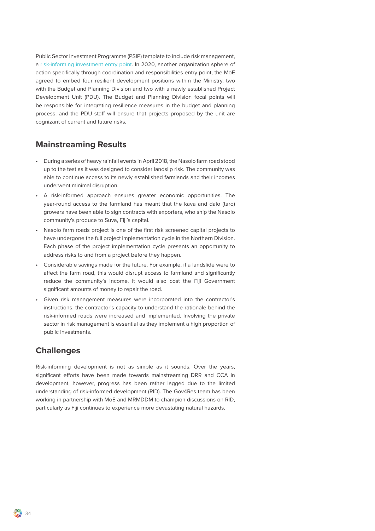Public Sector Investment Programme (PSIP) template to include risk management, a risk-informing investment entry point. In 2020, another organization sphere of action specifically through coordination and responsibilities entry point, the MoE agreed to embed four resilient development positions within the Ministry, two with the Budget and Planning Division and two with a newly established Project Development Unit (PDU). The Budget and Planning Division focal points will be responsible for integrating resilience measures in the budget and planning process, and the PDU staff will ensure that projects proposed by the unit are cognizant of current and future risks.

### **Mainstreaming Results**

- During a series of heavy rainfall events in April 2018, the Nasolo farm road stood up to the test as it was designed to consider landslip risk. The community was able to continue access to its newly established farmlands and their incomes underwent minimal disruption.
- A risk-informed approach ensures greater economic opportunities. The year-round access to the farmland has meant that the kava and dalo (taro) growers have been able to sign contracts with exporters, who ship the Nasolo community's produce to Suva, Fiji's capital.
- Nasolo farm roads project is one of the first risk screened capital projects to have undergone the full project implementation cycle in the Northern Division. Each phase of the project implementation cycle presents an opportunity to address risks to and from a project before they happen.
- Considerable savings made for the future. For example, if a landslide were to affect the farm road, this would disrupt access to farmland and significantly reduce the community's income. It would also cost the Fiji Government significant amounts of money to repair the road.
- Given risk management measures were incorporated into the contractor's instructions, the contractor's capacity to understand the rationale behind the risk-informed roads were increased and implemented. Involving the private sector in risk management is essential as they implement a high proportion of public investments.

### **Challenges**

Risk-informing development is not as simple as it sounds. Over the years, significant efforts have been made towards mainstreaming DRR and CCA in development; however, progress has been rather lagged due to the limited understanding of risk-informed development (RID). The Gov4Res team has been working in partnership with MoE and MRMDDM to champion discussions on RID, particularly as Fiji continues to experience more devastating natural hazards.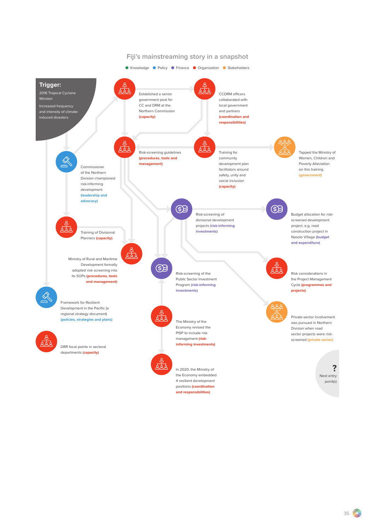#### **Fiji's mainstreaming story in a snapshot**